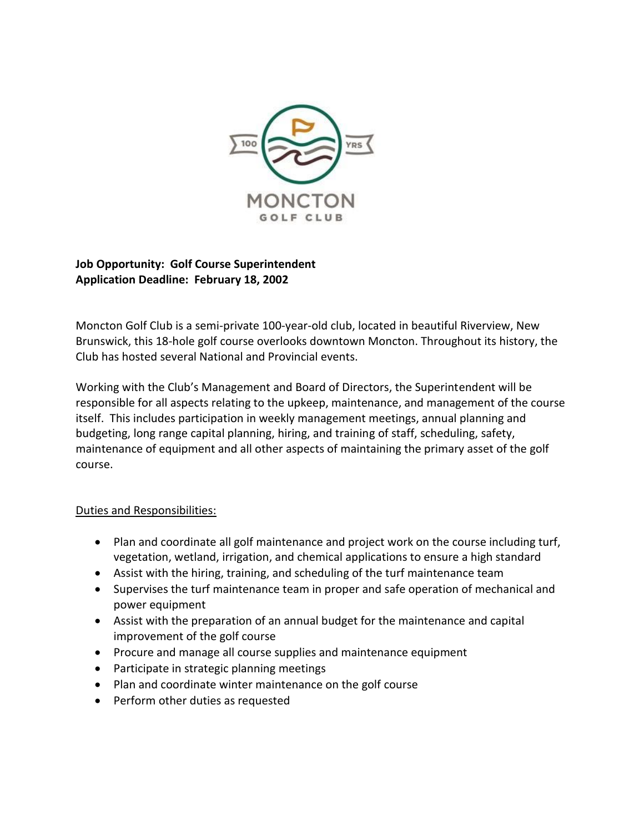

## **Job Opportunity: Golf Course Superintendent Application Deadline: February 18, 2002**

Moncton Golf Club is a semi-private 100-year-old club, located in beautiful Riverview, New Brunswick, this 18-hole golf course overlooks downtown Moncton. Throughout its history, the Club has hosted several National and Provincial events.

Working with the Club's Management and Board of Directors, the Superintendent will be responsible for all aspects relating to the upkeep, maintenance, and management of the course itself. This includes participation in weekly management meetings, annual planning and budgeting, long range capital planning, hiring, and training of staff, scheduling, safety, maintenance of equipment and all other aspects of maintaining the primary asset of the golf course.

## Duties and Responsibilities:

- Plan and coordinate all golf maintenance and project work on the course including turf, vegetation, wetland, irrigation, and chemical applications to ensure a high standard
- Assist with the hiring, training, and scheduling of the turf maintenance team
- Supervises the turf maintenance team in proper and safe operation of mechanical and power equipment
- Assist with the preparation of an annual budget for the maintenance and capital improvement of the golf course
- Procure and manage all course supplies and maintenance equipment
- Participate in strategic planning meetings
- Plan and coordinate winter maintenance on the golf course
- Perform other duties as requested